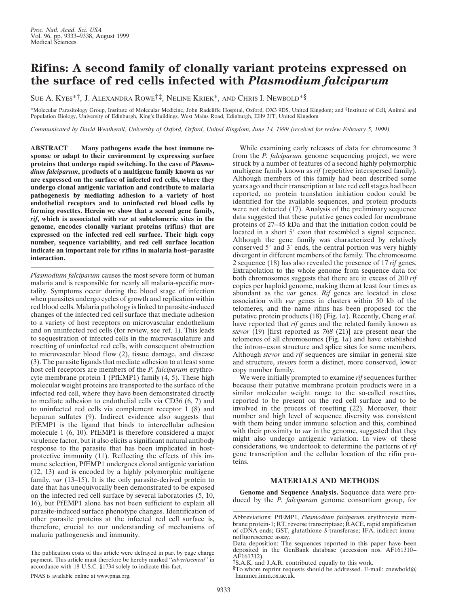## **Rifins: A second family of clonally variant proteins expressed on the surface of red cells infected with** *Plasmodium falciparum*

SUE A. KYES\*†, J. ALEXANDRA ROWE†‡, NELINE KRIEK\*, AND CHRIS I. NEWBOLD\*§

\*Molecular Parasitology Group, Institute of Molecular Medicine, John Radcliffe Hospital, Oxford, OX3 9DS, United Kingdom; and ‡Institute of Cell, Animal and Population Biology, University of Edinburgh, King's Buildings, West Mains Road, Edinburgh, EH9 3JT, United Kingdom

*Communicated by David Weatherall, University of Oxford, Oxford, United Kingdom, June 14, 1999 (received for review February 5, 1999)*

**ABSTRACT Many pathogens evade the host immune response or adapt to their environment by expressing surface proteins that undergo rapid switching. In the case of** *Plasmodium falciparum***, products of a multigene family known as** *var* **are expressed on the surface of infected red cells, where they undergo clonal antigenic variation and contribute to malaria pathogenesis by mediating adhesion to a variety of host endothelial receptors and to uninfected red blood cells by forming rosettes. Herein we show that a second gene family,** *rif***, which is associated with** *var* **at subtelomeric sites in the genome, encodes clonally variant proteins (rifins) that are expressed on the infected red cell surface. Their high copy number, sequence variability, and red cell surface location indicate an important role for rifins in malaria host–parasite interaction.**

*Plasmodium falciparum* causes the most severe form of human malaria and is responsible for nearly all malaria-specific mortality. Symptoms occur during the blood stage of infection when parasites undergo cycles of growth and replication within red blood cells. Malaria pathology is linked to parasite-induced changes of the infected red cell surface that mediate adhesion to a variety of host receptors on microvascular endothelium and on uninfected red cells (for review, see ref. 1). This leads to sequestration of infected cells in the microvasculature and rosetting of uninfected red cells, with consequent obstruction to microvascular blood flow (2), tissue damage, and disease (3). The parasite ligands that mediate adhesion to at least some host cell receptors are members of the *P. falciparum* erythrocyte membrane protein 1 (PfEMP1) family (4, 5). These high molecular weight proteins are transported to the surface of the infected red cell, where they have been demonstrated directly to mediate adhesion to endothelial cells via CD36 (6, 7) and to uninfected red cells via complement receptor 1 (8) and heparan sulfates (9). Indirect evidence also suggests that PfEMP1 is the ligand that binds to intercellular adhesion molecule 1 (6, 10). PfEMP1 is therefore considered a major virulence factor, but it also elicits a significant natural antibody response to the parasite that has been implicated in hostprotective immunity (11). Reflecting the effects of this immune selection, PfEMP1 undergoes clonal antigenic variation (12, 13) and is encoded by a highly polymorphic multigene family, *var* (13–15). It is the only parasite-derived protein to date that has unequivocally been demonstrated to be exposed on the infected red cell surface by several laboratories (5, 10, 16), but PfEMP1 alone has not been sufficient to explain all parasite-induced surface phenotype changes. Identification of other parasite proteins at the infected red cell surface is, therefore, crucial to our understanding of mechanisms of malaria pathogenesis and immunity.

While examining early releases of data for chromosome 3 from the *P. falciparum* genome sequencing project, we were struck by a number of features of a second highly polymorphic multigene family known as *rif* (repetitive interspersed family). Although members of this family had been described some years ago and their transcription at late red cell stages had been reported, no protein translation initiation codon could be identified for the available sequences, and protein products were not detected (17). Analysis of the preliminary sequence data suggested that these putative genes coded for membrane proteins of 27–45 kDa and that the initiation codon could be located in a short 5' exon that resembled a signal sequence. Although the gene family was characterized by relatively conserved 5' and 3' ends, the central portion was very highly divergent in different members of the family. The chromosome 2 sequence (18) has also revealed the presence of 17 *rif* genes. Extrapolation to the whole genome from sequence data for both chromosomes suggests that there are in excess of 200 *rif* copies per haploid genome, making them at least four times as abundant as the *var* genes. *Rif* genes are located in close association with *var* genes in clusters within 50 kb of the telomeres, and the name rifins has been proposed for the putative protein products (18) (Fig. 1*a*). Recently, Cheng *et al.* have reported that *rif* genes and the related family known as *stevor* (19) [first reported as *7h8* (21)] are present near the telomeres of all chromosomes (Fig. 1*a*) and have established the intron–exon structure and splice sites for some members. Although *stevor* and *rif* sequences are similar in general size and structure, *stevors* form a distinct, more conserved, lower copy number family.

We were initially prompted to examine *rif* sequences further because their putative membrane protein products were in a similar molecular weight range to the so-called rosettins, reported to be present on the red cell surface and to be involved in the process of rosetting (22). Moreover, their number and high level of sequence diversity was consistent with them being under immune selection and this, combined with their proximity to *var* in the genome, suggested that they might also undergo antigenic variation. In view of these considerations, we undertook to determine the patterns of *rif* gene transcription and the cellular location of the rifin proteins.

## **MATERIALS AND METHODS**

**Genome and Sequence Analysis.** Sequence data were produced by the *P. falciparum* genome consortium group, for

The publication costs of this article were defrayed in part by page charge payment. This article must therefore be hereby marked ''*advertisement*'' in accordance with 18 U.S.C. §1734 solely to indicate this fact.

Abbreviations: PfEMP1, *Plasmodium falciparum* erythrocyte membrane protein-1; RT, reverse transcriptase; RACE, rapid amplification of cDNA ends; GST, glutathione *S*-transferase; IFA, indirect immunofluorescence assay.

Data deposition: The sequences reported in this paper have been deposited in the GenBank database (accession nos. AF161310– AF161312).

<sup>†</sup>S.A.K. and J.A.R. contributed equally to this work.

 $\S$ To whom reprint requests should be addressed. E-mail: cnewbold@ hammer.imm.ox.ac.uk.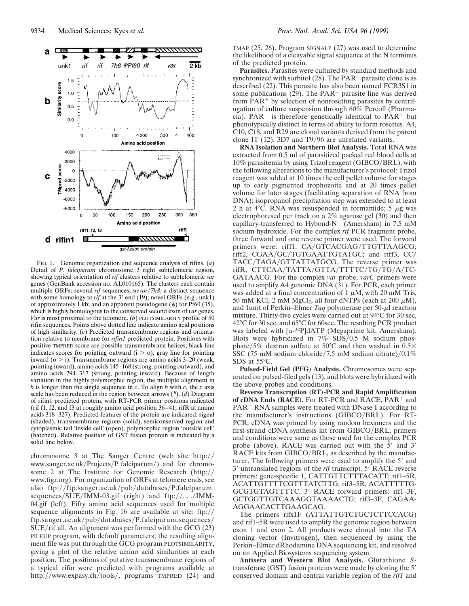

FIG. 1. Genomic organization and sequence analysis of rifins. (*a*) Detail of *P. falciparum* chromosome 3 right subtelomeric region, showing typical orientation of *rif* clusters relative to subtelomeric *var* genes (GenBank accession no. AL010165). The clusters each contain multiple ORFs: several *rif* sequences; *stevor*/7h8, a distinct sequence with some homology to *rif* at the 3' end (19); novel ORFs (e.g., unk1) of approximately 1 kb; and an apparent pseudogene  $(\psi)$  for Pf60 (35), which is highly homologous to the conserved second exon of *var* genes. *Var* is most proximal to the telomere. (*b*) PLOTSIMILARITY profile of 50 rifin sequences. Points above dotted line indicate amino acid positions of high similarity. (*c*) Predicted transmembrane regions and orientation relative to membrane for *rifin1* predicted protein. Positions with positive TMPRED score are possible transmembrane helices; black line indicates scores for pointing outward  $(i > o)$ , gray line for pointing inward ( $o > i$ ). Transmembrane regions are amino acids 3–20 (weak, pointing inward), amino acids 145–168 (strong, pointing outward), and amino acids 294–317 (strong, pointing inward). Because of length variation in the highly polymorphic region, the multiple alignment in *b* is longer than the single sequence in *c*. To align *b* with *c*, the *x* axis scale has been reduced in the region between arrows  $(^{\wedge})$ . (*d*) Diagram of rifin1 predicted protein, with RT-PCR primer positions indicated (rif f1, f2, and f3 at roughly amino acid position 36–41; rifR at amino acids 318–327). Predicted features of the protein are indicated: signal (shaded), transmembrane regions (solid), semiconserved region and cytoplasmic tail 'inside cell' (open), polymorphic region 'outside cell' (hatched). Relative position of GST fusion protein is indicated by a solid line below.

chromosome 3 at The Sanger Centre (web site http:// www.sanger.ac.uk/Projects/P\_falciparum/) and for chromosome 2 at The Institute for Genomic Research  $\frac{http://}{$ www.tigr.org). For organization of ORFs at telomere ends, see also ftp://ftp.sanger.ac.uk/pub/databases/P.falciparum\_  $sequences/SUE/IMM-03.git (right) and ftp://.../IMM-13.997)$ 04.gif (left). Fifty amino acid sequences used for multiple sequence alignments in Fig. 1*b* are available at site:  $ftp://$  $ftp.sanger.ac.uk/pub/databases/P.falciparum\_sequences/$  $SUE/rifall$ . An alignment was performed with the GCG (23) PILEUP program, with default parameters; the resulting alignment file was put through the GCG program PLOTSIMILARITY, giving a plot of the relative amino acid similarities at each position. The positions of putative transmembrane regions of a typical rifin were predicted with programs available at http://www.expasy.ch/tools/, programs TMPRED  $(24)$  and

TMAP (25, 26). Program SIGNALP (27) was used to determine the likelihood of a cleavable signal sequence at the N terminus of the predicted protein.

**Parasites.** Parasites were cultured by standard methods and synchronized with sorbitol  $(28)$ . The PAR<sup>+</sup> parasite clone is as described (22). This parasite has also been named FCR3S1 in some publications (29). The  $PAR<sup>-</sup>$  parasite line was derived from  $PAR<sup>+</sup>$  by selection of nonrosetting parasites by centrifugation of culture suspension through 60% Percoll (Pharmacia).  $PAR^-$  is therefore genetically identical to  $PAR^+$  but phenotypically distinct in terms of ability to form rosettes. A4, C10, C18, and R29 are clonal variants derived from the parent clone IT (12).  $3D7$  and T9/96 are unrelated variants.

**RNA Isolation and Northern Blot Analysis.** Total RNA was extracted from 0.5 ml of parasitized packed red blood cells at  $10\%$  parasitemia by using Trizol reagent (GIBCO/BRL), with the following alterations to the manufacturer's protocol: Trizol reagent was added at 10 times the cell pellet volume for stages up to early pigmented trophozoite and at 20 times pellet volume for later stages (facilitating separation of RNA from DNA); isopropanol precipitation step was extended to at least 2 h at 4 $\degree$ C. RNA was resuspended in formamide; 5  $\mu$ g was electrophoresed per track on a 2% agarose gel (30) and then capillary-transferred to Hybond-N<sup>+</sup> (Amersham) in 7.5 mM sodium hydroxide. For the complex *rif* PCR fragment probe, three forward and one reverse primer were used. The forward primers were: riff1, CA/GTCACGAG/TTGTTAAGCG; riff2, CGAA/GC/TGTGAATTGTATGC; and riff3, CC/ TACC/TAGA/GTTATTATGCG. The reverse primer was rifR, CTTCAA/TATTA/GTTA/TTTTC/TG/TG/A/TC-GATAACG. For the complex *var* probe, *varC* primers were used to amplify A4 genomic DNA (31). For PCR, each primer was added at a final concentration of 1  $\mu$ M, with 20 mM Tris, 50 mM KCl, 2 mM MgCl<sub>2</sub>, all four dNTPs (each at 200  $\mu$ M), and 1unit of Perkin–Elmer *Taq* polymerase per 50- $\mu$ l reaction mixture. Thirty-five cycles were carried out at 94°C for 30 sec, 42°C for 30 sec, and 65°C for 60sec. The resulting PCR product was labeled with  $\lceil \alpha^{-32}P \rceil dATP$  (Megaprime kit, Amersham). Blots were hybridized in  $7\%$  SDS/0.5 M sodium phosphate/5% dextran sulfate at 50°C and then washed in  $0.5\times$ SSC (75 mM sodium chloride/7.5 mM sodium citrate)/0.1% SDS at 55°C.

**Pulsed-Field Gel (PFG) Analysis.** Chromosomes were separated on pulsed-filed gels (13), and blots were hybridized with the above probes and conditions.

**Reverse Transcription (RT)-PCR and Rapid Amplification of cDNA Ends (RACE).** For RT-PCR and RACE, PAR<sup>+</sup> and PAR<sup>-</sup> RNA samples were treated with DNase I according to the manufacturer's instructions (GIBCO/BRL). For RT-PCR, cDNA was primed by using random hexamers and the first-strand cDNA synthesis kit from GIBCO/BRL; primers and conditions were same as those used for the complex PCR probe (above). RACE was carried out with the 5' and 3' RACE kits from GIBCO/BRL, as described by the manufacturer. The following primers were used to amplify the 5' and 3' untranslated regions of the *rif* transcript. 5' RACE reverse primers: gene-specific 1, CATTGTTCTTTACATT; rif1–5R, ACATTGTTTTCGTTTATCTTG; rif3–5R, ACATTTTTG-GCGTGTAGTTTTC. 3' RACE forward primers: rif1-3F, GCTGGTTGTCAAAGGTAAAACTG; rif3–3F, CAGAA-AGGAACACTTGAAGCAG.

The primers rifx1F (ATTATTGTCTGCTCTTCCACG) and rif1–5R were used to amplify the genomic region between exon 1 and exon 2. All products were cloned into the TA cloning vector (Invitrogen), then sequenced by using the Perkin–Elmer dRhodamine DNA sequencing kit, and resolved on an Applied Biosystems sequencing system.

**Antisera and Western Blot Analysis.** Glutathione *S*transferase (GST) fusion proteins were made by cloning the 5<sup>'</sup> conserved domain and central variable region of the *rif1* and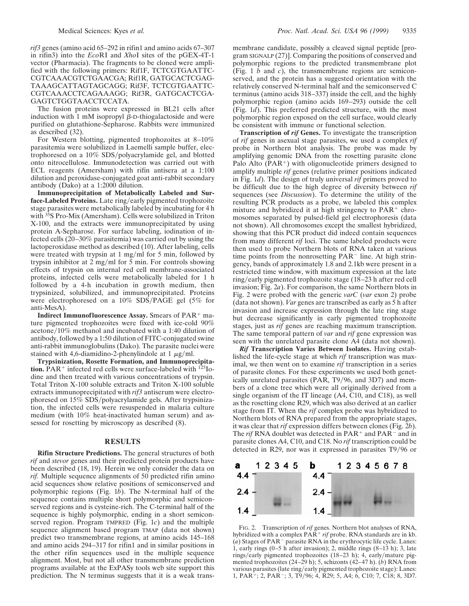*rif3* genes (amino acid 65–292 in rifin1 and amino acids 67–307 in rifin3) into the *Eco*RI and *Xho*I sites of the pGEX-4T-1 vector (Pharmacia). The fragments to be cloned were amplified with the following primers: Rif1F, TCTCGTGAATTC-CGTCAAACGTCTGAACGA; Rif1R, GATGCACTCGAG-TAAAGCATTAGTAGCAGG; Rif3F, TCTCGTGAATTC-CGTCAAACCTCAGAAAGG; Rif3R, GATGCACTCGA-GAGTCTGGTAACCTCCATA.

The fusion proteins were expressed in BL21 cells after induction with 1 mM isopropyl  $\beta$ -D-thiogalactoside and were purified on glutathione-Sepharose. Rabbits were immunized as described (32).

For Western blotting, pigmented trophozoites at 8–10% parasitemia were solubilized in Laemelli sample buffer, electrophoresed on a 10% SDS/polyacrylamide gel, and blotted onto nitrocellulose. Immunodetection was carried out with ECL reagents (Amersham) with rifin antisera at a 1:100 dilution and peroxidase-conjugated goat anti-rabbit secondary antibody (Dako) at a 1:2000 dilution.

**Immunoprecipitation of Metabolically Labeled and Sur**face-Labeled Proteins. Late ring/early pigmented trophozoite stage parasites were metabolically labeled by incubating for 4 h with <sup>35</sup>S Pro-Mix (Amersham). Cells were solubilized in Triton X-100, and the extracts were immunoprecipitated by using protein A-Sepharose. For surface labeling, iodination of infected cells (20–30% parasitemia) was carried out by using the lactoperoxidase method as described (10). After labeling, cells were treated with trypsin at 1 mg/ml for 5 min, followed by trypsin inhibitor at  $2 \text{ mg/ml}$  for 5 min. For controls showing effects of trypsin on internal red cell membrane-associated proteins, infected cells were metabolically labeled for 1 h followed by a 4-h incubation in growth medium, then trypsinized, solubilized, and immunoprecipitated. Proteins were electrophoresed on a  $10\%$  SDS/PAGE gel (5% for anti-MesA).

**Indirect Immunofluorescence Assay.** Smears of PAR<sup>+</sup> mature pigmented trophozoites were fixed with ice-cold 90% acetone/10% methanol and incubated with a 1:40 dilution of antibody, followed by a 1:50 dilution of FITC-conjugated swine anti-rabbit immunoglobulins (Dako). The parasite nuclei were stained with 4,6-diamidino-2-phenylindole at 1  $\mu$ g/ml.

**Trypsinization, Rosette Formation, and Immunoprecipita-** $\text{tion.} \text{PAR}^+$  infected red cells were surface-labeled with  $^{125}$ Iodine and then treated with various concentrations of trypsin. Total Triton X-100 soluble extracts and Triton X-100 soluble extracts immunoprecipitated with *rif3* antiserum were electrophoresed on 15% SDS/polyacrylamide gels. After trypsinization, the infected cells were resuspended in malaria culture medium (with 10% heat-inactivated human serum) and assessed for rosetting by microscopy as described (8).

## **RESULTS**

**Rifin Structure Predictions.** The general structures of both *rif* and *stevor* genes and their predicted protein products have been described (18, 19). Herein we only consider the data on *rif.* Multiple sequence alignments of 50 predicted rifin amino acid sequences show relative positions of semiconserved and polymorphic regions (Fig. 1*b*). The N-terminal half of the sequence contains multiple short polymorphic and semiconserved regions and is cysteine-rich. The C-terminal half of the sequence is highly polymorphic, ending in a short semiconserved region. Program TMPRED (Fig. 1*c*) and the multiple sequence alignment based program TMAP (data not shown) predict two transmembrane regions, at amino acids 145–168 and amino acids 294–317 for rifin1 and in similar positions in the other rifin sequences used in the multiple sequence alignment. Most, but not all other transmembrane prediction programs available at the ExPASy tools web site support this prediction. The N terminus suggests that it is a weak transmembrane candidate, possibly a cleaved signal peptide [program SIGNALP (27)]. Comparing the positions of conserved and polymorphic regions to the predicted transmembrane plot (Fig. 1 *b* and *c*), the transmembrane regions are semiconserved, and the protein has a suggested orientation with the relatively conserved N-terminal half and the semiconserved C terminus (amino acids 318–337) inside the cell, and the highly polymorphic region (amino acids 169–293) outside the cell (Fig. 1*d*). This preferred predicted structure, with the most polymorphic region exposed on the cell surface, would clearly be consistent with immune or functional selection.

**Transcription of** *rif* **Genes.** To investigate the transcription of *rif* genes in asexual stage parasites, we used a complex *rif* probe in Northern blot analysis. The probe was made by amplifying genomic DNA from the rosetting parasite clone Palo Alto  $(PAR<sup>+</sup>)$  with oligonucleotide primers designed to amplify multiple *rif* genes (relative primer positions indicated in Fig. 1*d*). The design of truly universal *rif* primers proved to be difficult due to the high degree of diversity between *rif* sequences (see *Discussion*). To determine the utility of the resulting PCR products as a probe, we labeled this complex mixture and hybridized it at high stringency to  $PAR<sup>+</sup>$  chromosomes separated by pulsed-field gel electrophoresis (data not shown). All chromosomes except the smallest hybridized, showing that this PCR product did indeed contain sequences from many different *rif* loci. The same labeled products were then used to probe Northern blots of RNA taken at various time points from the nonrosetting  $PAR$ <sup>-</sup> line. At high stringency, bands of approximately 1.8 and 2.1kb were present in a restricted time window, with maximum expression at the late ring/early pigmented trophozoite stage (18–23 h after red cell invasion; Fig. 2*a*). For comparison, the same Northern blots in Fig. 2 were probed with the generic *varC* (*var* exon 2) probe (data not shown). *Var* genes are transcribed as early as 5 h after invasion and increase expression through the late ring stage but decrease significantly in early pigmented trophozoite stages, just as *rif* genes are reaching maximum transcription. The same temporal pattern of *var* and *rif* gene expression was seen with the unrelated parasite clone A4 (data not shown).

*Rif* **Transcription Varies Between Isolates.** Having established the life-cycle stage at which *rif* transcription was maximal, we then went on to examine *rif* transcription in a series of parasite clones. For these experiments we used both genetically unrelated parasites (PAR, T9/96, and 3D7) and members of a clone tree which were all originally derived from a single organism of the IT lineage (A4, C10, and C18), as well as the rosetting clone R29, which was also derived at an earlier stage from IT. When the *rif* complex probe was hybridized to Northern blots of RNA prepared from the appropriate stages, it was clear that *rif* expression differs between clones (Fig. 2*b*). The *rif* RNA doublet was detected in  $PAR^+$  and  $PAR^-$  and in parasite clones A4, C10, and C18. No *rif* transcription could be detected in R29, nor was it expressed in parasites  $T9/96$  or



FIG. 2. Transcription of *rif* genes. Northern blot analyses of RNA, hybridized with a complex PAR<sup>+</sup> *rif* probe. RNA standards are in kb.  $(a)$  Stages of PAR<sup>-</sup> parasite RNA in the erythrocytic life cycle. Lanes: 1, early rings (0–5 h after invasion); 2, middle rings (8–13 h); 3, late rings/early pigmented trophozoites (18–23 h); 4, early/mature pigmented trophozoites (24–29 h); 5, schizonts (42–47 h). (*b*) RNA from various parasites (late ring/early pigmented trophozoite stage): Lanes: 1, PAR<sup>+</sup>; 2, PAR<sup>-</sup>; 3, T9/96; 4, R29; 5, A4; 6, C10; 7, C18; 8, 3D7.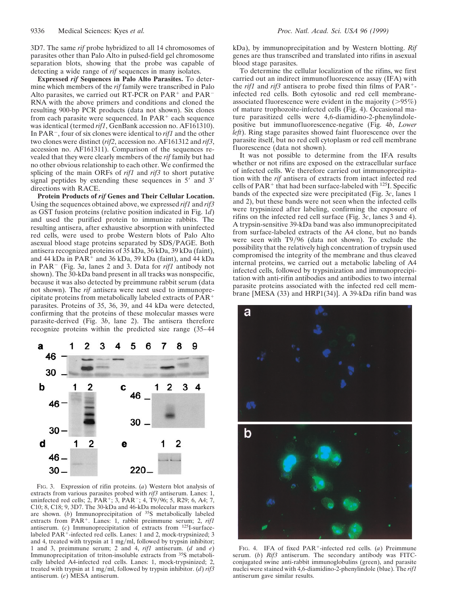3D7. The same *rif* probe hybridized to all 14 chromosomes of parasites other than Palo Alto in pulsed-field gel chromosome separation blots, showing that the probe was capable of detecting a wide range of *rif* sequences in many isolates.

**Expressed** *rif* **Sequences in Palo Alto Parasites.** To determine which members of the *rif* family were transcribed in Palo Alto parasites, we carried out RT-PCR on  $PAR<sup>+</sup>$  and  $PAR<sup>-</sup>$ RNA with the above primers and conditions and cloned the resulting 900-bp PCR products (data not shown). Six clones from each parasite were sequenced. In  $PAR<sup>+</sup>$  each sequence was identical (termed *rif1*, GenBank accession no. AF161310). In PAR<sup>-</sup>, four of six clones were identical to *rif1* and the other two clones were distinct (*rif2*, accession no. AF161312 and *rif3*, accession no. AF161311). Comparison of the sequences revealed that they were clearly members of the *rif* family but had no other obvious relationship to each other. We confirmed the splicing of the main ORFs of *rif1* and *rif3* to short putative signal peptides by extending these sequences in  $5<sup>7</sup>$  and  $3<sup>7</sup>$ directions with RACE.

**Protein Products of** *rif* **Genes and Their Cellular Location.** Using the sequences obtained above, we expressed *rif1* and *rif3* as GST fusion proteins (relative position indicated in Fig. 1*d*) and used the purified protein to immunize rabbits. The resulting antisera, after exhaustive absorption with uninfected red cells, were used to probe Western blots of Palo Alto asexual blood stage proteins separated by SDS/PAGE. Both antisera recognized proteins of 35 kDa, 36 kDa, 39 kDa (faint), and 44 kDa in  $PAR^+$  and 36 kDa, 39 kDa (faint), and 44 kDa in PAR<sup>-</sup> (Fig. 3*a*, lanes 2 and 3. Data for *rif1* antibody not shown). The 30-kDa band present in all tracks was nonspecific, because it was also detected by preimmune rabbit serum (data not shown). The *rif* antisera were next used to immunoprecipitate proteins from metabolically labeled extracts of  $PAR$ <sup>+</sup> parasites. Proteins of 35, 36, 39, and 44 kDa were detected, confirming that the proteins of these molecular masses were parasite-derived (Fig. 3*b*, lane 2). The antisera therefore recognize proteins within the predicted size range (35–44



FIG. 3. Expression of rifin proteins. (*a*) Western blot analysis of extracts from various parasites probed with *rif3* antiserum. Lanes: 1, uninfected red cells;  $2$ , PAR<sup>+</sup>;  $3$ , PAR<sup>-</sup>; 4, T9/96; 5, R29; 6, A4; 7, C10; 8, C18; 9, 3D7. The 30-kDa and 46-kDa molecular mass markers are shown. (*b*) Immunoprecipitation of 35S metabolically labeled extracts from PAR<sup>+</sup>. Lanes: 1, rabbit preimmune serum; 2, *rif1* antiserum. (*c*) Immunoprecipitation of extracts from 125I-surfacelabeled  $PAR^+$ -infected red cells. Lanes: 1 and 2, mock-trypsinized; 3 and 4, treated with trypsin at 1 mg/ml, followed by trypsin inhibitor; 1 and 3, preimmune serum; 2 and 4, *rif1* antiserum. (*d* and *e*) Immunoprecipitation of triton-insoluble extracts from 35S metabolically labeled A4-infected red cells. Lanes: 1, mock-trypsinized; 2, treated with trypsin at 1 mg/ml, followed by trypsin inhibitor. (*d*)  $\pi i/3$ antiserum. (*e*) MESA antiserum.

kDa), by immunoprecipitation and by Western blotting. *Rif* genes are thus transcribed and translated into rifins in asexual blood stage parasites.

To determine the cellular localization of the rifins, we first carried out an indirect immunofluorescence assay (IFA) with the  $\pi i f1$  and  $\pi i f3$  antisera to probe fixed thin films of PAR<sup>+</sup>infected red cells. Both cytosolic and red cell membraneassociated fluorescence were evident in the majority  $(>\!95\%)$ of mature trophozoite-infected cells (Fig. 4). Occasional mature parasitized cells were 4,6-diamidino-2-phenylindolepositive but immunofluorescence-negative (Fig. 4*b*, *Lower left*). Ring stage parasites showed faint fluorescence over the parasite itself, but no red cell cytoplasm or red cell membrane fluorescence (data not shown).

It was not possible to determine from the IFA results whether or not rifins are exposed on the extracellular surface of infected cells. We therefore carried out immunoprecipitation with the *rif* antisera of extracts from intact infected red cells of PAR<sup>+</sup> that had been surface-labeled with  $125$ I. Specific bands of the expected size were precipitated (Fig. 3*c*, lanes 1 and 2), but these bands were not seen when the infected cells were trypsinized after labeling, confirming the exposure of rifins on the infected red cell surface (Fig. 3*c*, lanes 3 and 4). A trypsin-sensitive 39-kDa band was also immunoprecipitated from surface-labeled extracts of the A4 clone, but no bands were seen with  $T9/96$  (data not shown). To exclude the possibility that the relatively high concentration of trypsin used compromised the integrity of the membrane and thus cleaved internal proteins, we carried out a metabolic labeling of A4 infected cells, followed by trypsinization and immunoprecipitation with anti-rifin antibodies and antibodies to two internal parasite proteins associated with the infected red cell membrane [MESA (33) and HRP1(34)]. A 39-kDa rifin band was



FIG. 4. IFA of fixed PAR<sup>+</sup>-infected red cells. (*a*) Preimmune serum. (*b*) *Rif3* antiserum. The secondary antibody was FITCconjugated swine anti-rabbit immunoglobulins (green), and parasite nuclei were stained with 4,6-diamidino-2-phenylindole (blue). The *rif1* antiserum gave similar results.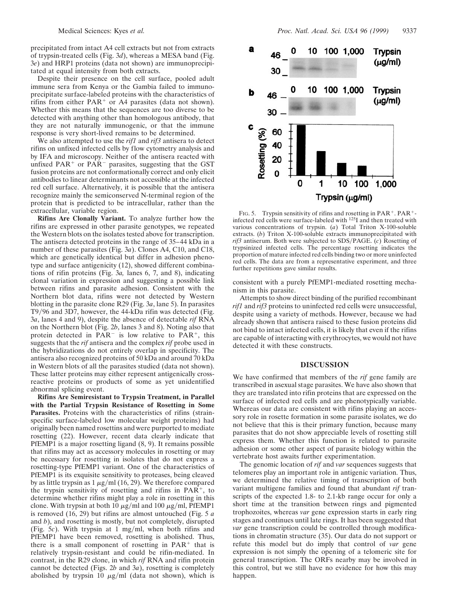precipitated from intact A4 cell extracts but not from extracts of trypsin-treated cells (Fig. 3*d*), whereas a MESA band (Fig. 3*e*) and HRP1 proteins (data not shown) are immunoprecipitated at equal intensity from both extracts.

Despite their presence on the cell surface, pooled adult immune sera from Kenya or the Gambia failed to immunoprecipitate surface-labeled proteins with the characteristics of rifins from either  $PAR<sup>+</sup>$  or A4 parasites (data not shown). Whether this means that the sequences are too diverse to be detected with anything other than homologous antibody, that they are not naturally immunogenic, or that the immune response is very short-lived remains to be determined.

We also attempted to use the *rif1* and *rif3* antisera to detect rifins on unfixed infected cells by flow cytometry analysis and by IFA and microscopy. Neither of the antisera reacted with unfixed PAR<sup>+</sup> or PAR<sup>-</sup> parasites, suggesting that the GST fusion proteins are not conformationally correct and only elicit antibodies to linear determinants not accessible at the infected red cell surface. Alternatively, it is possible that the antisera recognize mainly the semiconserved N-terminal region of the protein that is predicted to be intracellular, rather than the extracellular, variable region.

**Rifins Are Clonally Variant.** To analyze further how the rifins are expressed in other parasite genotypes, we repeated the Western blots on the isolates tested above for transcription. The antisera detected proteins in the range of 35–44 kDa in a number of these parasites (Fig. 3*a*). Clones A4, C10, and C18, which are genetically identical but differ in adhesion phenotype and surface antigenicity (12), showed different combinations of rifin proteins (Fig. 3*a,* lanes 6, 7, and 8), indicating clonal variation in expression and suggesting a possible link between rifins and parasite adhesion. Consistent with the Northern blot data, rifins were not detected by Western blotting in the parasite clone R29 (Fig. 3*a*, lane 5). In parasites T9y96 and 3D7, however, the 44-kDa rifin was detected (Fig. 3*a*, lanes 4 and 9), despite the absence of detectable *rif* RNA on the Northern blot (Fig. 2*b*, lanes 3 and 8). Noting also that protein detected in  $PAR^-$  is low relative to  $PAR^+$ , this suggests that the *rif* antisera and the complex *rif* probe used in the hybridizations do not entirely overlap in specificity. The antisera also recognized proteins of 50 kDa and around 70 kDa in Western blots of all the parasites studied (data not shown). These latter proteins may either represent antigenically crossreactive proteins or products of some as yet unidentified abnormal splicing event.

**Rifins Are Semiresistant to Trypsin Treatment, in Parallel with the Partial Trypsin Resistance of Rosetting in Some Parasites.** Proteins with the characteristics of rifins (strainspecific surface-labeled low molecular weight proteins) had originally been named rosettins and were purported to mediate rosetting (22). However, recent data clearly indicate that PfEMP1 is a major rosetting ligand (8, 9). It remains possible that rifins may act as accessory molecules in rosetting or may be necessary for rosetting in isolates that do not express a rosetting-type PfEMP1 variant. One of the characteristics of PfEMP1 is its exquisite sensitivity to proteases, being cleaved by as little trypsin as  $1 \mu g/ml$  (16, 29). We therefore compared the trypsin sensitivity of rosetting and rifins in  $PAR^+$ , to determine whether rifins might play a role in rosetting in this clone. With trypsin at both 10  $\mu$ g/ml and 100  $\mu$ g/ml, PfEMP1 is removed (16, 29) but rifins are almost untouched (Fig. 5 *a* and *b*), and rosetting is mostly, but not completely, disrupted (Fig.  $5c$ ). With trypsin at 1 mg/ml, when both rifins and PfEMP1 have been removed, rosetting is abolished. Thus, there is a small component of rosetting in  $PAR<sup>+</sup>$  that is relatively trypsin-resistant and could be rifin-mediated. In contrast, in the R29 clone, in which *rif* RNA and rifin protein cannot be detected (Figs. 2*b* and 3*a*), rosetting is completely abolished by trypsin 10  $\mu$ g/ml (data not shown), which is



FIG. 5. Trypsin sensitivity of rifins and rosetting in  $PAR^+$ .  $PAR^+$ infected red cells were surface-labeled with 125I and then treated with various concentrations of trypsin. (*a*) Total Triton X-100-soluble extracts. (*b*) Triton X-100-soluble extracts immunoprecipitated with  $ri\beta$  antiserum. Both were subjected to SDS/PAGE.  $(c)$  Rosetting of trypsinized infected cells. The percentage rosetting indicates the proportion of mature infected red cells binding two or more uninfected red cells. The data are from a representative experiment, and three further repetitions gave similar results.

consistent with a purely PfEMP1-mediated rosetting mechanism in this parasite.

Attempts to show direct binding of the purified recombinant *rif1* and *rif3* proteins to uninfected red cells were unsuccessful, despite using a variety of methods. However, because we had already shown that antisera raised to these fusion proteins did not bind to intact infected cells, it is likely that even if the rifins are capable of interacting with erythrocytes, we would not have detected it with these constructs.

## **DISCUSSION**

We have confirmed that members of the *rif* gene family are transcribed in asexual stage parasites. We have also shown that they are translated into rifin proteins that are expressed on the surface of infected red cells and are phenotypically variable. Whereas our data are consistent with rifins playing an accessory role in rosette formation in some parasite isolates, we do not believe that this is their primary function, because many parasites that do not show appreciable levels of rosetting still express them. Whether this function is related to parasite adhesion or some other aspect of parasite biology within the vertebrate host awaits further experimentation.

The genomic location of *rif* and *var* sequences suggests that telomeres play an important role in antigenic variation. Thus, we determined the relative timing of transcription of both variant multigene families and found that abundant *rif* transcripts of the expected 1.8- to 2.1-kb range occur for only a short time at the transition between rings and pigmented trophozoites, whereas *var* gene expression starts in early ring stages and continues until late rings. It has been suggested that *var* gene transcription could be controlled through modifications in chromatin structure (35). Our data do not support or refute this model but do imply that control of *var* gene expression is not simply the opening of a telomeric site for general transcription. The ORFs nearby may be involved in this control, but we still have no evidence for how this may happen.